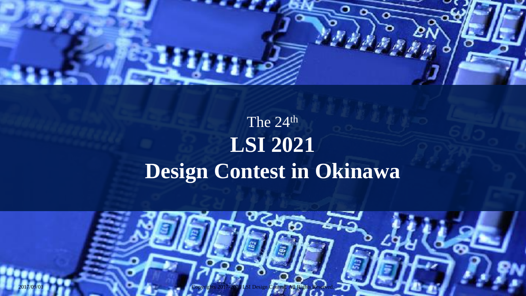

## The 24<sup>th</sup> **LSI 2021 Design Contest in Okinawa**

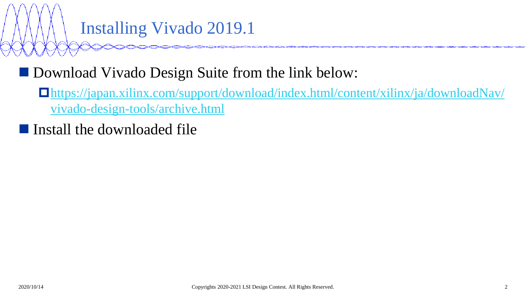## Installing Vivado 2019.1

#### ■ Download Vivado Design Suite from the link below:

- [https://japan.xilinx.com/support/download/index.html/content/xilinx/ja/downloadNav/](https://japan.xilinx.com/support/download/index.html/content/xilinx/ja/downloadNav/vivado-design-tools/archive.html) vivado-design-tools/archive.html
- Install the downloaded file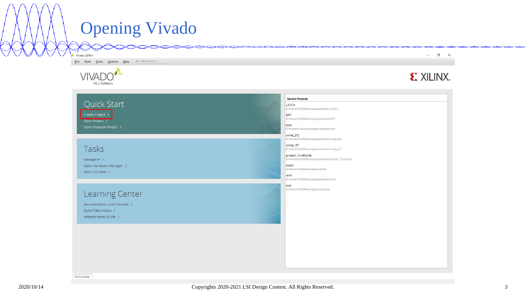### Opening Vivado

Eile Flow Tools Window Help Q-Quick Access

Vivado 2019.1



Tcl Console

 $\begin{array}{ccccccccc} - & & \Box & & \Box & & \times \end{array}$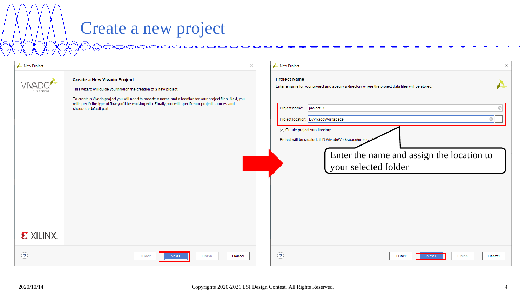## Create a new project

| New Project<br>$\times$               |                                                                                                                                                                                                                                                                                                                                                       | New Project<br>$\times$                                                                                                                                                                                                                                                                                                                                                       |
|---------------------------------------|-------------------------------------------------------------------------------------------------------------------------------------------------------------------------------------------------------------------------------------------------------------------------------------------------------------------------------------------------------|-------------------------------------------------------------------------------------------------------------------------------------------------------------------------------------------------------------------------------------------------------------------------------------------------------------------------------------------------------------------------------|
| <b>HLx Editions</b><br><b>EXALINX</b> | Create a New Vivado Project<br>This wizard will guide you through the creation of a new project.<br>To create a Vivado project you will need to provide a name and a location for your project files. Next, you<br>will specify the type of flow you'll be working with. Finally, you will specify your project sources and<br>choose a default part. | <b>Project Name</b><br>£<br>Enter a name for your project and specify a directory where the project data files will be stored.<br>Project name:<br>project_1<br>Project location: D://ivadoWorkspace<br><b></b><br>Create project subdirectory<br>Project will be created at: D://ivadoWorkspace/project<br>Enter the name and assign the location to<br>your selected folder |
| $\odot$                               | Cancel<br>Finish<br>Next≥<br>< Back                                                                                                                                                                                                                                                                                                                   | $\odot$<br>Cancel<br>$\leq$ Back<br>Finish<br>Next >                                                                                                                                                                                                                                                                                                                          |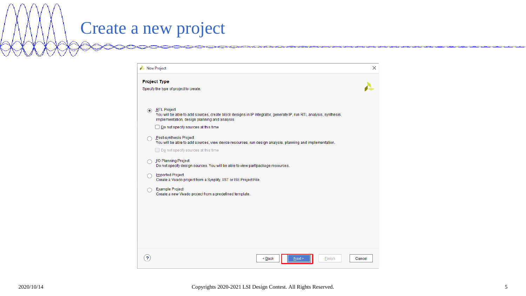# Create a new project

| New Project                                                                                                                                                                                                                                                                                                                                                                                                                                                                                                                                                                                                                                                                                            | × |
|--------------------------------------------------------------------------------------------------------------------------------------------------------------------------------------------------------------------------------------------------------------------------------------------------------------------------------------------------------------------------------------------------------------------------------------------------------------------------------------------------------------------------------------------------------------------------------------------------------------------------------------------------------------------------------------------------------|---|
| <b>Project Type</b><br>Specify the type of project to create.                                                                                                                                                                                                                                                                                                                                                                                                                                                                                                                                                                                                                                          |   |
| RTL Project<br>You will be able to add sources, create block designs in IP Integrator, generate IP, run RTL analysis, synthesis,<br>implementation, design planning and analysis.<br>Do not specify sources at this time<br>Post-synthesis Project<br>You will be able to add sources, view device resources, run design analysis, planning and implementation.<br>Do not specify sources at this time<br><b>J/O Planning Project</b><br>Do not specify design sources. You will be able to view part/package resources.<br><b>Imported Project</b><br>Create a Vivado project from a Synplify, XST or ISE Project File.<br>Example Project<br>Create a new Vivado project from a predefined template. |   |
| $Back$<br>Next<br>Finish<br>Cancel                                                                                                                                                                                                                                                                                                                                                                                                                                                                                                                                                                                                                                                                     |   |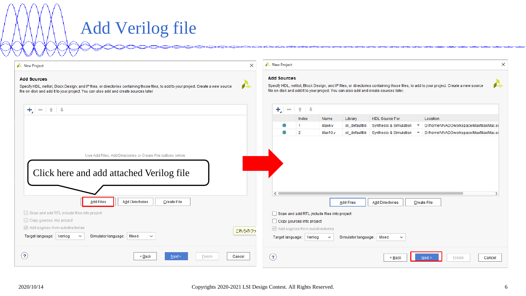# Add Verilog file

| New Project                                                                                                                                                                                                                                             | $\times$ |                                                                                                                                                                                                                                                   | New Project  |                                                             |                                             |                           |                                        |                                        |
|---------------------------------------------------------------------------------------------------------------------------------------------------------------------------------------------------------------------------------------------------------|----------|---------------------------------------------------------------------------------------------------------------------------------------------------------------------------------------------------------------------------------------------------|--------------|-------------------------------------------------------------|---------------------------------------------|---------------------------|----------------------------------------|----------------------------------------|
| <b>Add Sources</b><br>đ.<br>Specify HDL, netlist, Block Design, and IP files, or directories containing those files, to add to your project. Create a new source<br>file on disk and add it to your project. You can also add and create sources later. |          | <b>Add Sources</b><br>Specify HDL, netlist, Block Design, and IP files, or directories containing those files, to add to your project. Create a new source<br>file on disk and add it to your project. You can also add and create sources later. |              |                                                             |                                             |                           |                                        |                                        |
| $+$ $ +$ $+$                                                                                                                                                                                                                                            |          |                                                                                                                                                                                                                                                   | $+$ $ +$ $+$ |                                                             |                                             |                           |                                        |                                        |
|                                                                                                                                                                                                                                                         |          |                                                                                                                                                                                                                                                   |              | Index                                                       | Name                                        | Library                   | <b>HDL Source For</b>                  | Location                               |
|                                                                                                                                                                                                                                                         |          |                                                                                                                                                                                                                                                   |              | -1                                                          | Max4.v                                      | xil defaultlib            | Synthesis & Simulation                 | D:/home/VIVADOworkspace/Max/Max/Max.sr |
|                                                                                                                                                                                                                                                         |          |                                                                                                                                                                                                                                                   |              | $\overline{2}$                                              | Max10.v                                     | xil_defaultlib            | Synthesis & Simulation<br>$\mathbf{v}$ | D:/home/VIVADOworkspace/Max/Max/Max.si |
| Use Add Files, Add Directories or Create File buttons below<br>Click here and add attached Verilog file<br>Add Directories<br><b>Add Files</b><br><b>Create File</b><br>Scan and add RTL include files into project                                     |          |                                                                                                                                                                                                                                                   | €            |                                                             | Scan and add RTL include files into project | <b>Add Files</b>          | <b>Add Directories</b>                 | Create File                            |
| Copy sources into project                                                                                                                                                                                                                               |          |                                                                                                                                                                                                                                                   |              | Copy sources into project                                   |                                             |                           |                                        |                                        |
| Add sources from subdirectories<br>Target language: Verilog<br>Simulator language:   Mixed<br>$\checkmark$<br>$\checkmark$                                                                                                                              | これらのファ   |                                                                                                                                                                                                                                                   |              | Add sources from subdirectories<br>Target language: Verilog | $\checkmark$                                | Simulator language: Mixed | $\checkmark$                           |                                        |
| (2)<br>$\leq$ Back<br>Finish<br>Cancel<br>Next >                                                                                                                                                                                                        |          | $\circled{?}$                                                                                                                                                                                                                                     |              |                                                             |                                             |                           | $\leq$ Back                            | Finish<br>Cancel<br>Next               |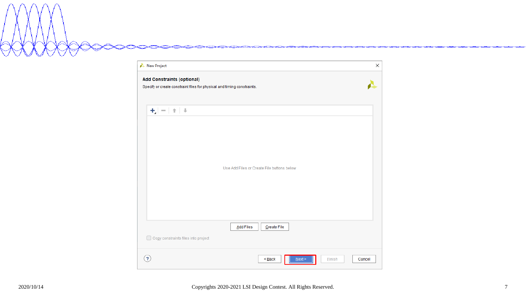

| New Project                                                                                                  | $\times$         |
|--------------------------------------------------------------------------------------------------------------|------------------|
| <b>Add Constraints (optional)</b><br>Specify or create constraint files for physical and timing constraints. |                  |
| $+$ $ +$ $+$                                                                                                 |                  |
| Use Add Files or Create File buttons below                                                                   |                  |
| <b>Add Files</b><br>Create File<br>Copy constraints files into project                                       |                  |
| $\overline{\mathbf{r}}$<br>$\leq$ Back<br>$N$ ext >                                                          | Einish<br>Cancel |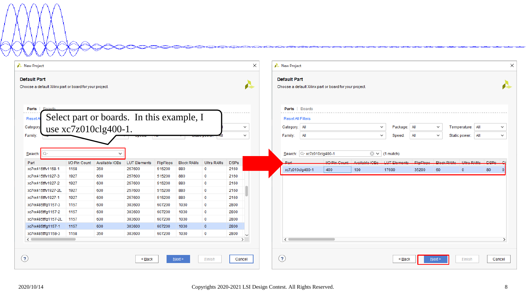#### $\times$ New Project New Project  $\times$ **Default Part Default Part** Æ Choose a default Xilinx part or board for your project. Choose a default Xilinx part or board for your project. Parts | Boards Parts | Boards Select part or boards. In this example, I Reset **Reset All Filters** use xc7z010clg400-1.Category: All Temperature: All Categor  $\checkmark$  $\checkmark$ Package: All  $\checkmark$  $\checkmark$ **Family**  $\sim$ Family: All  $\checkmark$ Speed: All  $\checkmark$ Static power: All  $\checkmark$ Search  $\checkmark$ Search: Q- xc7z010clg400-1  $\circledcirc$   $\vee$  (1 match)  $\circ$ Part I/O Pin Count Available IOBs **LUT Elements** FlipFlops **Block RAMs** Ultra RAMs **DSPs** Port **I/O Pin Count** Available IORe **ILIT Flaments** FlinFlone **Riock RAMe Hitro RAMe** nepe xc7vx415tffv1158-1 1158 350 257600 515200 880  $\mathbf 0$ 2160 xc7z010clg400-1 400 100 17600 35200 60  $\overline{0}$ 80  $\Omega$ xc7vx415tffv1927-3 1927 600 257600 515200 880  $\mathbf{0}$ 2160 xc7vx415tffv1927-2 1927 600 257600 515200 880 2160  $\bf{0}$ xc7vx415tffv1927-2L 1927 600 257600 515200 880  $\mathbf{0}$ 2160 xc7vx415tffv1927-1 1927 600 257600 515200 880  $\mathbf{0}$ 2160 xc7vx485tffg1157-3 1157 600 303600 607200 1030  $\mathbf 0$ 2800 xc7vx485tffq1157-2 1157 600 303600 607200 1030  $\mathbf 0$ 2800 xc7vx485tffg1157-2L 1157 600 303600 607200 1030  $\mathbf 0$ 2800 xc7vx485tffg1157-1 1157 600 303600 1030  $\mathbf{0}$ 2800 607200 xc7vx485tffg1158-3 1158 350 303600 607200 1030  $\overline{0}$ 2800  $\checkmark$  $\leftarrow$  $\rightarrow$  $\leftarrow$ ۰,  $\odot$  $\odot$  $\leq$  Back  $Next$ **Finish** Cancel  $\leq$  Back  $N$ ext > Einish Cancel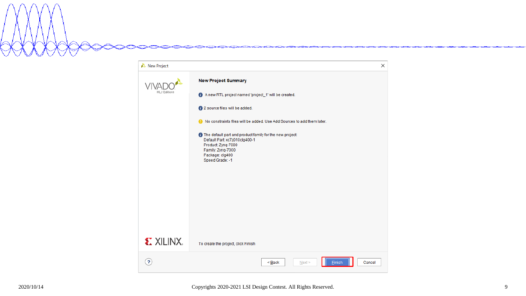New Project  $\times$ **New Project Summary** VIVA HLx Edition: A new RTL project named 'project\_1' will be created. <sup>1</sup> 2 source files will be added. No constraints files will be added. Use Add Sources to add them later. **O** The default part and product family for the new project: Default Part: xc7z010clg400-1 Product: Zynq-7000 Family: Zynq-7000 Package: clg400 Speed Grade: -1 **EXILINX** To create the project, click Finish  $\odot$  $\leq$  Back  $N$ ext > Einish Cancel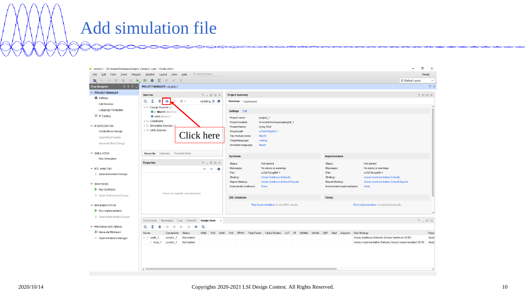#### Add simulation file

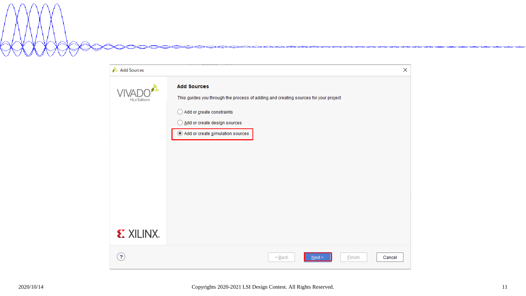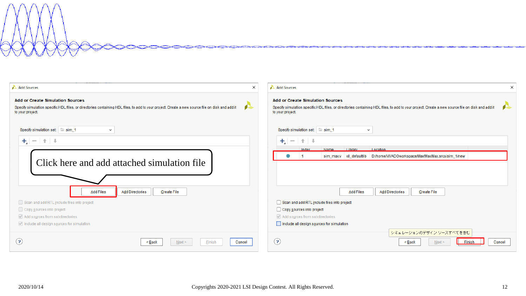| Add Sources                                                                                                                                                                                                         | $\times$<br>×<br>Add Sources                                                                                                                                                                                   |
|---------------------------------------------------------------------------------------------------------------------------------------------------------------------------------------------------------------------|----------------------------------------------------------------------------------------------------------------------------------------------------------------------------------------------------------------|
| <b>Add or Create Simulation Sources</b><br>Specify simulation specific HDL files, or directories containing HDL files, to add to your project. Create a new source file on disk and add it<br>æ<br>to your project. | <b>Add or Create Simulation Sources</b><br>Specify simulation specific HDL files, or directories containing HDL files, to add to your project. Create a new source file on disk and add it<br>to your project. |
| Specify simulation set: Sim_1<br>$\checkmark$                                                                                                                                                                       | Specify simulation set: Sim_1<br>$\checkmark$                                                                                                                                                                  |
| $+$ $ +$ $+$<br>Click here and add attached simulation file                                                                                                                                                         | $+$ $ +$ $+$<br>Library<br>Name<br>Location<br>Index<br>sim_max.v  xil_defaultlib   D:/home/VIVADOworkspace/Max/Max/Max.srcs/sim_1/new                                                                         |
| Add Files<br>Add Directories<br><b>Create File</b>                                                                                                                                                                  | <b>Add Files</b><br><b>Add Directories</b><br><b>Create File</b>                                                                                                                                               |
| Scan and add RTL include files into project                                                                                                                                                                         | Scan and add RTL include files into project                                                                                                                                                                    |
| Copy sources into project                                                                                                                                                                                           | Copy sources into project                                                                                                                                                                                      |
| Add sources from subdirectories<br>Include all design sources for simulation                                                                                                                                        | Add sources from subdirectories<br>Include all design sources for simulation                                                                                                                                   |
| $\bf(2)$<br>Next<br>Cancel<br>≺ <u>B</u> ack<br>Finish                                                                                                                                                              | シミュレーションのデザイン ソースすべてを含む<br>(2)<br>Cancel<br>< <u>B</u> ack<br>$N$ ext ><br>Finish                                                                                                                              |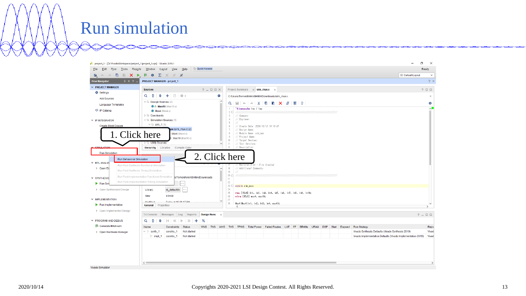#### Run simulation